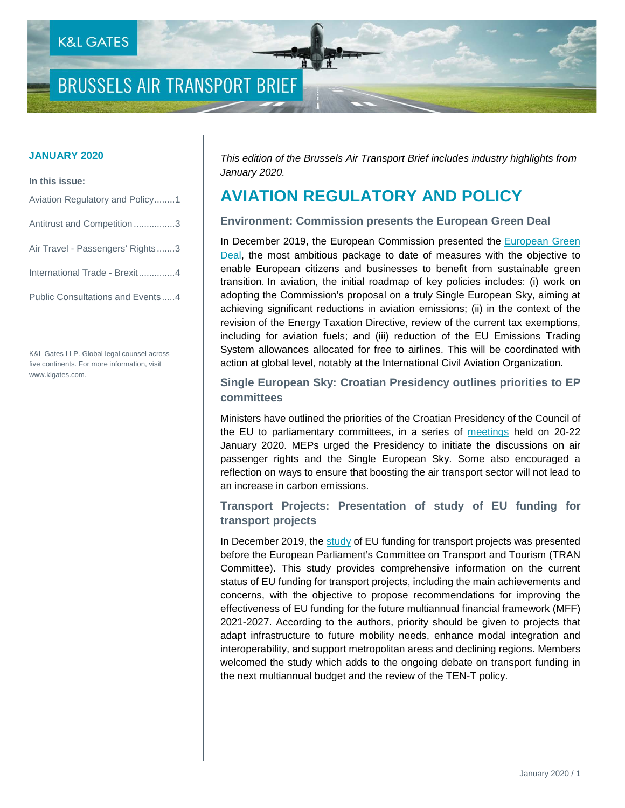## **BRUSSELS AIR TRANSPORT BRIEF**

#### **In this issue:**

| Aviation Regulatory and Policy1  |
|----------------------------------|
| Antitrust and Competition3       |
| Air Travel - Passengers' Rights3 |
| International Trade - Brexit4    |
| Public Consultations and Events4 |

K&L Gates LLP. Global legal counsel across five continents. For more information, visit www.klgates.com.

**JANUARY 2020** *This edition of the Brussels Air Transport Brief includes industry highlights from January 2020.*

### **AVIATION REGULATORY AND POLICY**

#### **Environment: Commission presents the European Green Deal**

In December 2019, the European Commission presented the European Green [Deal,](https://ec.europa.eu/info/publications/communication-european-green-deal_en) the most ambitious package to date of measures with the objective to enable European citizens and businesses to benefit from sustainable green transition. In aviation, the initial roadmap of key policies includes: (i) work on adopting the Commission's proposal on a truly Single European Sky, aiming at achieving significant reductions in aviation emissions; (ii) in the context of the revision of the Energy Taxation Directive, review of the current tax exemptions, including for aviation fuels; and (iii) reduction of the EU Emissions Trading System allowances allocated for free to airlines. This will be coordinated with action at global level, notably at the International Civil Aviation Organization.

#### **Single European Sky: Croatian Presidency outlines priorities to EP committees**

Ministers have outlined the priorities of the Croatian Presidency of the Council of the EU to parliamentary committees, in a series of [meetings](https://www.europarl.europa.eu/news/en/press-room/20200123IPR70918/croatian-presidency-outlines-priorities-to-ep-committees) held on 20-22 January 2020. MEPs urged the Presidency to initiate the discussions on air passenger rights and the Single European Sky. Some also encouraged a reflection on ways to ensure that boosting the air transport sector will not lead to an increase in carbon emissions.

**Transport Projects: Presentation of study of EU funding for transport projects** 

In December 2019, the [study](https://www.europarl.europa.eu/RegData/etudes/STUD/2019/629199/IPOL_STU(2019)629199_EN.pdf) of EU funding for transport projects was presented before the European Parliament's Committee on Transport and Tourism (TRAN Committee). This study provides comprehensive information on the current status of EU funding for transport projects, including the main achievements and concerns, with the objective to propose recommendations for improving the effectiveness of EU funding for the future multiannual financial framework (MFF) 2021-2027. According to the authors, priority should be given to projects that adapt infrastructure to future mobility needs, enhance modal integration and interoperability, and support metropolitan areas and declining regions. Members welcomed the study which adds to the ongoing debate on transport funding in the next multiannual budget and the review of the TEN-T policy.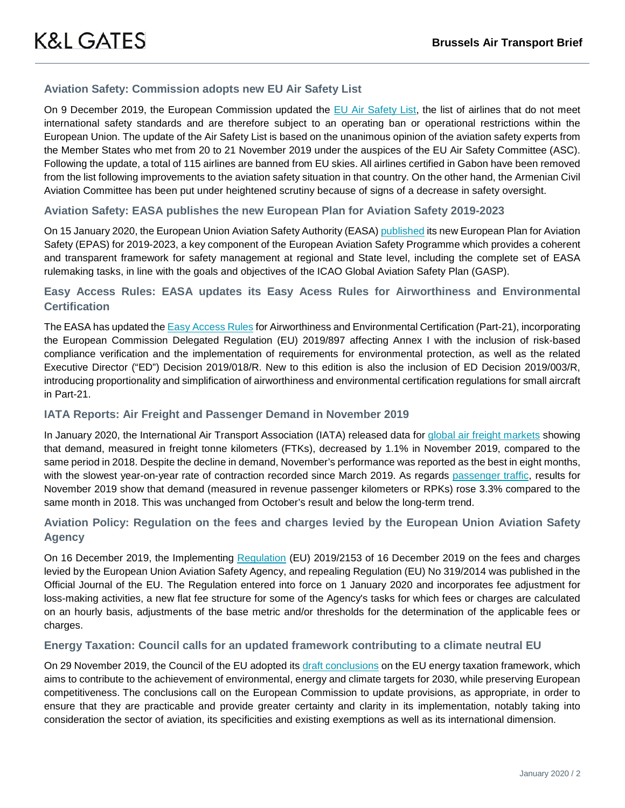#### **Aviation Safety: Commission adopts new EU Air Safety List**

On 9 December 2019, the European Commission updated the [EU Air Safety List,](https://ec.europa.eu/commission/presscorner/detail/en/ip_19_6686) the list of airlines that do not meet international safety standards and are therefore subject to an operating ban or operational restrictions within the European Union. The update of the Air Safety List is based on the unanimous opinion of the aviation safety experts from the Member States who met from 20 to 21 November 2019 under the auspices of the EU Air Safety Committee (ASC). Following the update, a total of 115 airlines are banned from EU skies. All airlines certified in Gabon have been removed from the list following improvements to the aviation safety situation in that country. On the other hand, the Armenian Civil Aviation Committee has been put under heightened scrutiny because of signs of a decrease in safety oversight.

#### **Aviation Safety: EASA publishes the new European Plan for Aviation Safety 2019-2023**

On 15 January 2020, the European Union Aviation Safety Authority (EASA) [published](https://www.easa.europa.eu/document-library/general-publications/european-plan-aviation-safety-2019-2023) its new European Plan for Aviation Safety (EPAS) for 2019-2023, a key component of the European Aviation Safety Programme which provides a coherent and transparent framework for safety management at regional and State level, including the complete set of EASA rulemaking tasks, in line with the goals and objectives of the ICAO Global Aviation Safety Plan (GASP).

#### **Easy Access Rules: EASA updates its Easy Acess Rules for Airworthiness and Environmental Certification**

The EASA has updated the [Easy Access Rules](https://www.easa.europa.eu/newsroom-and-events/news/updated-easy-access-rules-airworthiness-and-environmental-certification) for Airworthiness and Environmental Certification (Part-21), incorporating the European Commission Delegated Regulation (EU) 2019/897 affecting Annex I with the inclusion of risk-based compliance verification and the implementation of requirements for environmental protection, as well as the related Executive Director ("ED") Decision 2019/018/R. New to this edition is also the inclusion of ED Decision 2019/003/R, introducing proportionality and simplification of airworthiness and environmental certification regulations for small aircraft in Part-21.

#### **IATA Reports: Air Freight and Passenger Demand in November 2019**

In January 2020, the International Air Transport Association (IATA) released data for [global air freight markets](https://www.iata.org/en/pressroom/pr/2020-01-08-01/) showing that demand, measured in freight tonne kilometers (FTKs), decreased by 1.1% in November 2019, compared to the same period in 2018. Despite the decline in demand, November's performance was reported as the best in eight months, with the slowest year-on-year rate of contraction recorded since March 2019. As regards [passenger traffic,](https://www.iata.org/en/pressroom/pr/2020-01-09-01/) results for November 2019 show that demand (measured in revenue passenger kilometers or RPKs) rose 3.3% compared to the same month in 2018. This was unchanged from October's result and below the long-term trend.

#### **Aviation Policy: Regulation on the fees and charges levied by the European Union Aviation Safety Agency**

On 16 December 2019, the Implementing [Regulation](https://eur-lex.europa.eu/legal-content/EN/TXT/PDF/?uri=CELEX:32019R2153&from=EN) (EU) 2019/2153 of 16 December 2019 on the fees and charges levied by the European Union Aviation Safety Agency, and repealing Regulation (EU) No 319/2014 was published in the Official Journal of the EU. The Regulation entered into force on 1 January 2020 and incorporates fee adjustment for loss-making activities, a new flat fee structure for some of the Agency's tasks for which fees or charges are calculated on an hourly basis, adjustments of the base metric and/or thresholds for the determination of the applicable fees or charges.

#### **Energy Taxation: Council calls for an updated framework contributing to a climate neutral EU**

On 29 November 2019, the Council of the EU adopted its [draft conclusions](http://data.consilium.europa.eu/doc/document/ST-14608-2019-INIT/en/pdf) on the EU energy taxation framework, which aims to contribute to the achievement of environmental, energy and climate targets for 2030, while preserving European competitiveness. The conclusions call on the European Commission to update provisions, as appropriate, in order to ensure that they are practicable and provide greater certainty and clarity in its implementation, notably taking into consideration the sector of aviation, its specificities and existing exemptions as well as its international dimension.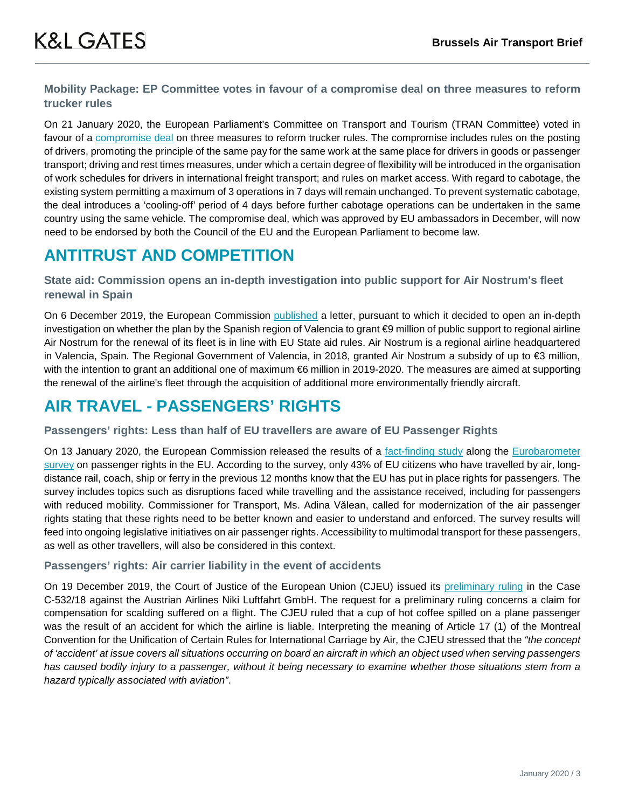### **Mobility Package: EP Committee votes in favour of a compromise deal on three measures to reform trucker rules**

On 21 January 2020, the European Parliament's Committee on Transport and Tourism (TRAN Committee) voted in favour of a [compromise deal](https://www.europarl.europa.eu/news/en/press-room/20200120IPR70630/mobility-package-transport-committee-backs-deal-with-eu-ministers) on three measures to reform trucker rules. The compromise includes rules on the posting of drivers, promoting the principle of the same pay for the same work at the same place for drivers in goods or passenger transport; driving and rest times measures, under which a certain degree of flexibility will be introduced in the organisation of work schedules for drivers in international freight transport; and rules on market access. With regard to cabotage, the existing system permitting a maximum of 3 operations in 7 days will remain unchanged. To prevent systematic cabotage, the deal introduces a 'cooling-off' period of 4 days before further cabotage operations can be undertaken in the same country using the same vehicle. The compromise deal, which was approved by EU ambassadors in December, will now need to be endorsed by both the Council of the EU and the European Parliament to become law.

### **ANTITRUST AND COMPETITION**

#### **State aid: Commission opens an in-depth investigation into public support for Air Nostrum's fleet renewal in Spain**

On 6 December 2019, the European Commission [published](https://ec.europa.eu/competition/state_aid/cases1/201949/282885_2115442_22_2.pdf) a letter, pursuant to which it decided to open an in-depth investigation on whether the plan by the Spanish region of Valencia to grant €9 million of public support to regional airline Air Nostrum for the renewal of its fleet is in line with EU State aid rules. Air Nostrum is a regional airline headquartered in Valencia, Spain. The Regional Government of Valencia, in 2018, granted Air Nostrum a subsidy of up to €3 million, with the intention to grant an additional one of maximum €6 million in 2019-2020. The measures are aimed at supporting the renewal of the airline's fleet through the acquisition of additional more environmentally friendly aircraft.

### **AIR TRAVEL - PASSENGERS' RIGHTS**

#### **Passengers' rights: Less than half of EU travellers are aware of EU Passenger Rights**

On 13 January 2020, the European Commission released the results of a [fact-finding study](https://ec.europa.eu/transport/sites/transport/files/studies/isbn-978-92-76-14244-7-study-on-the-current-level-of-protection-of-air-passenger-rights-in-the-eu.pdf) along the [Eurobarometer](https://ec.europa.eu/commission/presscorner/detail/en/ip_19_6814)  [survey](https://ec.europa.eu/commission/presscorner/detail/en/ip_19_6814) on passenger rights in the EU. According to the survey, only 43% of EU citizens who have travelled by air, longdistance rail, coach, ship or ferry in the previous 12 months know that the EU has put in place rights for passengers. The survey includes topics such as disruptions faced while travelling and the assistance received, including for passengers with reduced mobility. Commissioner for Transport, Ms. Adina Vălean, called for modernization of the air passenger rights stating that these rights need to be better known and easier to understand and enforced. The survey results will feed into ongoing legislative initiatives on air passenger rights. Accessibility to multimodal transport for these passengers, as well as other travellers, will also be considered in this context.

#### **Passengers' rights: Air carrier liability in the event of accidents**

On 19 December 2019, the Court of Justice of the European Union (CJEU) issued its [preliminary ruling](https://eur-lex.europa.eu/legal-content/EN/TXT/?qid=1579878883012&uri=CELEX:62018CJ0532) in the Case C-532/18 against the Austrian Airlines Niki Luftfahrt GmbH. The request for a preliminary ruling concerns a claim for compensation for scalding suffered on a flight. The CJEU ruled that a cup of hot coffee spilled on a plane passenger was the result of an accident for which the airline is liable. Interpreting the meaning of Article 17 (1) of the Montreal Convention for the Unification of Certain Rules for International Carriage by Air, the CJEU stressed that the *"the concept of 'accident' at issue covers all situations occurring on board an aircraft in which an object used when serving passengers*  has caused bodily injury to a passenger, without it being necessary to examine whether those situations stem from a *hazard typically associated with aviation"*.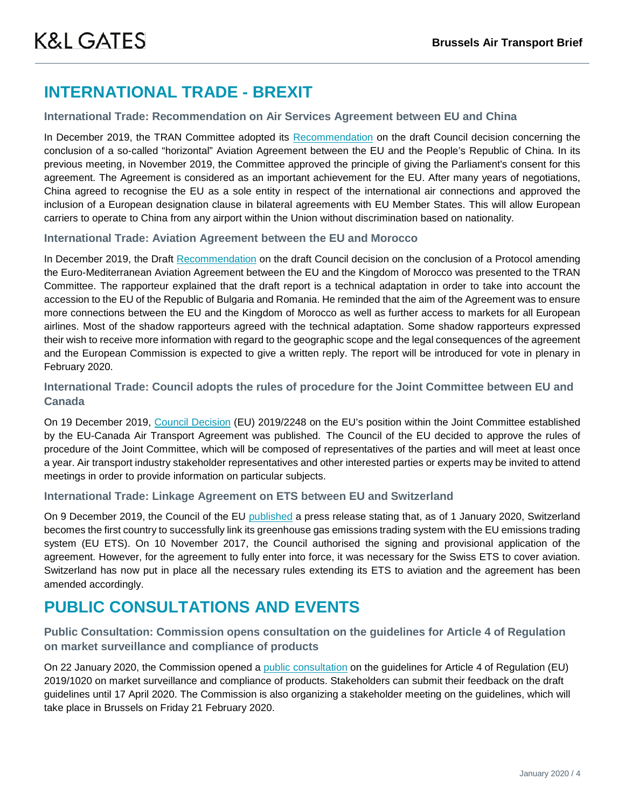### **INTERNATIONAL TRADE - BREXIT**

#### **International Trade: Recommendation on Air Services Agreement between EU and China**

In December 2019, the TRAN Committee adopted its [Recommendation](https://www.europarl.europa.eu/doceo/document/TRAN-PR-641390_EN.pdf) on the draft Council decision concerning the conclusion of a so-called "horizontal" Aviation Agreement between the EU and the People's Republic of China. In its previous meeting, in November 2019, the Committee approved the principle of giving the Parliament's consent for this agreement. The Agreement is considered as an important achievement for the EU. After many years of negotiations, China agreed to recognise the EU as a sole entity in respect of the international air connections and approved the inclusion of a European designation clause in bilateral agreements with EU Member States. This will allow European carriers to operate to China from any airport within the Union without discrimination based on nationality.

#### **International Trade: Aviation Agreement between the EU and Morocco**

In December 2019, the Draft [Recommendation](https://www.europarl.europa.eu/doceo/document/TRAN-PR-642928_EN.pdf) on the draft Council decision on the conclusion of a Protocol amending the Euro-Mediterranean Aviation Agreement between the EU and the Kingdom of Morocco was presented to the TRAN Committee. The rapporteur explained that the draft report is a technical adaptation in order to take into account the accession to the EU of the Republic of Bulgaria and Romania. He reminded that the aim of the Agreement was to ensure more connections between the EU and the Kingdom of Morocco as well as further access to markets for all European airlines. Most of the shadow rapporteurs agreed with the technical adaptation. Some shadow rapporteurs expressed their wish to receive more information with regard to the geographic scope and the legal consequences of the agreement and the European Commission is expected to give a written reply. The report will be introduced for vote in plenary in February 2020.

#### **International Trade: Council adopts the rules of procedure for the Joint Committee between EU and Canada**

On 19 December 2019, [Council Decision](https://eur-lex.europa.eu/legal-content/EN/TXT/PDF/?uri=CELEX:32019D2248&qid=1579878883012&from=EN) (EU) 2019/2248 on the EU's position within the Joint Committee established by the EU-Canada Air Transport Agreement was published. The Council of the EU decided to approve the rules of procedure of the Joint Committee, which will be composed of representatives of the parties and will meet at least once a year. Air transport industry stakeholder representatives and other interested parties or experts may be invited to attend meetings in order to provide information on particular subjects.

#### **International Trade: Linkage Agreement on ETS between EU and Switzerland**

On 9 December 2019, the Council of the EU [published](https://www.consilium.europa.eu/en/press/press-releases/2019/12/09/linking-of-switzerland-to-the-eu-emissions-trading-system-entry-into-force-on-1-january-2020/pdf) a press release stating that, as of 1 January 2020, Switzerland becomes the first country to successfully link its greenhouse gas emissions trading system with the EU emissions trading system (EU ETS). On 10 November 2017, the Council authorised the signing and provisional application of the agreement. However, for the agreement to fully enter into force, it was necessary for the Swiss ETS to cover aviation. Switzerland has now put in place all the necessary rules extending its ETS to aviation and the agreement has been amended accordingly.

### **PUBLIC CONSULTATIONS AND EVENTS**

#### **Public Consultation: Commission opens consultation on the guidelines for Article 4 of Regulation on market surveillance and compliance of products**

On 22 January 2020, the Commission opened a [public consultation](https://ec.europa.eu/growth/content/your-input-wanted-guidelines-related-regulation-market-surveillance-and-compliance-products_en) on the guidelines for Article 4 of Regulation (EU) 2019/1020 on market surveillance and compliance of products. Stakeholders can submit their feedback on the draft guidelines until 17 April 2020. The Commission is also organizing a stakeholder meeting on the guidelines, which will take place in Brussels on Friday 21 February 2020.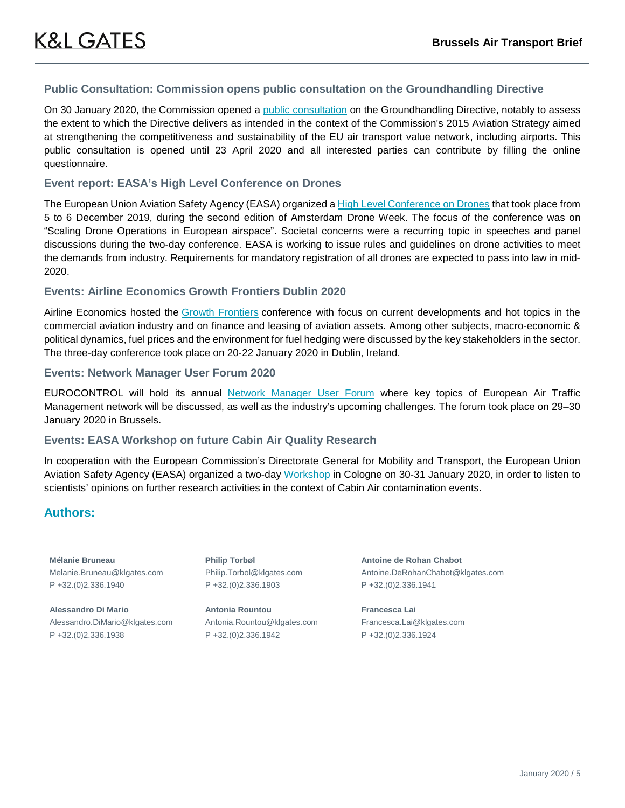#### **Public Consultation: Commission opens public consultation on the Groundhandling Directive**

On 30 January 2020, the Commission opened a [public consultation](https://ec.europa.eu/info/law/better-regulation/initiatives/ares-2019-414136/public-consultation_en) on the Groundhandling Directive, notably to assess the extent to which the Directive delivers as intended in the context of the Commission's 2015 Aviation Strategy aimed at strengthening the competitiveness and sustainability of the EU air transport value network, including airports. This public consultation is opened until 23 April 2020 and all interested parties can contribute by filling the online questionnaire.

#### **Event report: EASA's High Level Conference on Drones**

The European Union Aviation Safety Agency (EASA) organized a [High Level Conference on Drones](https://www.easa.europa.eu/newsroom-and-events/press-releases/regulators-and-industry-unite-need-address-societal-concerns) that took place from 5 to 6 December 2019, during the second edition of Amsterdam Drone Week. The focus of the conference was on "Scaling Drone Operations in European airspace". Societal concerns were a recurring topic in speeches and panel discussions during the two-day conference. EASA is working to issue rules and guidelines on drone activities to meet the demands from industry. Requirements for mandatory registration of all drones are expected to pass into law in mid-2020.

#### **Events: Airline Economics Growth Frontiers Dublin 2020**

Airline Economics hosted the [Growth Frontiers](http://www.aviationnews-online.com/conferences/dublin/) conference with focus on current developments and hot topics in the commercial aviation industry and on finance and leasing of aviation assets. Among other subjects, macro-economic & political dynamics, fuel prices and the environment for fuel hedging were discussed by the key stakeholders in the sector. The three-day conference took place on 20-22 January 2020 in Dublin, Ireland.

#### **Events: Network Manager User Forum 2020**

EUROCONTROL will hold its annual [Network Manager User Forum](https://www.eurocontrol.int/event/nm-user-forum-2020) where key topics of European Air Traffic Management network will be discussed, as well as the industry's upcoming challenges. The forum took place on 29–30 January 2020 in Brussels.

#### **Events: EASA Workshop on future Cabin Air Quality Research**

In cooperation with the European Commission's Directorate General for Mobility and Transport, the European Union Aviation Safety Agency (EASA) organized a two-day [Workshop](https://www.easa.europa.eu/newsroom-and-events/events/easa-workshop-future-cabin-air-quality-research) in Cologne on 30-31 January 2020, in order to listen to scientists' opinions on further research activities in the context of Cabin Air contamination events.

#### **Authors:**

**Mélanie Bruneau** Melanie.Bruneau@klgates.com P +32.(0)2.336.1940

**Alessandro Di Mario** Alessandro.DiMario@klgates.com P +32.(0)2.336.1938

**Philip Torbøl** Philip.Torbol@klgates.com P +32.(0)2.336.1903

**Antonia Rountou** Antonia.Rountou@klgates.com P +32.(0)2.336.1942

**Antoine de Rohan Chabot** Antoine.DeRohanChabot@klgates.com P +32.(0)2.336.1941

**Francesca Lai** Francesca.Lai@klgates.com P +32.(0)2.336.1924